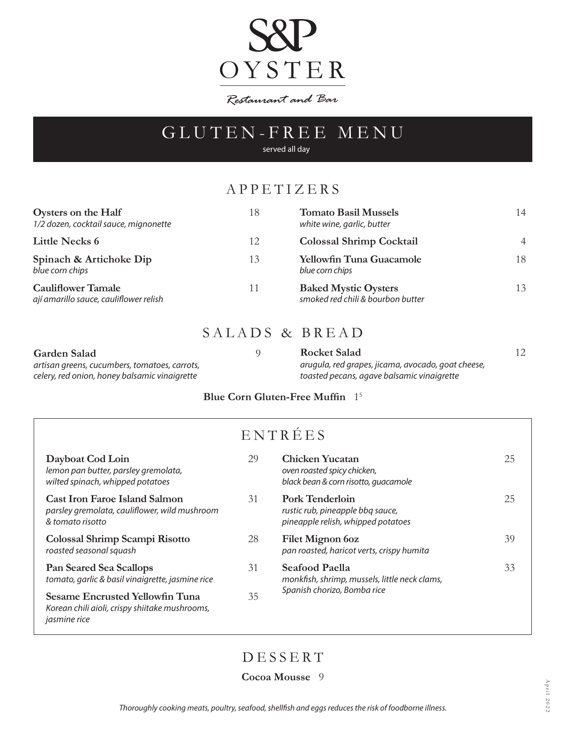

Restaurant and Bar

## GLUTEN-FREE MENU

served all day

### APPETIZERS

| Oysters on the Half<br>1/2 dozen, cocktail sauce, mignonette        | 18 | <b>Tomato Basil Mussels</b><br>white wine, garlic, butter        | 14             |
|---------------------------------------------------------------------|----|------------------------------------------------------------------|----------------|
| <b>Little Necks 6</b>                                               | 12 | <b>Colossal Shrimp Cocktail</b>                                  | $\overline{4}$ |
| Spinach & Artichoke Dip<br>blue corn chips                          | 13 | <b>Yellowfin Tuna Guacamole</b><br>blue corn chips               | 18             |
| <b>Cauliflower Tamale</b><br>ají amarillo sauce, cauliflower relish | 11 | <b>Baked Mystic Oysters</b><br>smoked red chili & bourbon butter | 13             |

### SALADS & BREAD

| Garden Salad                                  | <b>Rocket Salad</b>                                |  |
|-----------------------------------------------|----------------------------------------------------|--|
| artisan greens, cucumbers, tomatoes, carrots, | arugula, red grapes, jicama, avocado, goat cheese, |  |
| celery, red onion, honey balsamic vinaigrette | toasted pecans, agave balsamic vinaigrette         |  |

#### **Blue Corn Gluten-Free Muffin** 15

| ENTRÉES                                                                                                         |    |                                                                                                  |    |  |  |
|-----------------------------------------------------------------------------------------------------------------|----|--------------------------------------------------------------------------------------------------|----|--|--|
| Dayboat Cod Loin<br>lemon pan butter, parsley gremolata,<br>wilted spinach, whipped potatoes                    | 29 | <b>Chicken Yucatan</b><br>oven roasted spicy chicken,<br>black bean & corn risotto, quacamole    | 25 |  |  |
| <b>Cast Iron Faroe Island Salmon</b><br>parsley gremolata, cauliflower, wild mushroom<br>& tomato risotto       | 31 | <b>Pork Tenderloin</b><br>rustic rub, pineapple bbq sauce,<br>pineapple relish, whipped potatoes | 25 |  |  |
| Colossal Shrimp Scampi Risotto<br>roasted seasonal squash                                                       | 28 | Filet Mignon 6oz<br>pan roasted, haricot verts, crispy humita                                    | 39 |  |  |
| <b>Pan Seared Sea Scallops</b><br>tomato, garlic & basil vinaigrette, jasmine rice                              | 31 | <b>Seafood Paella</b><br>monkfish, shrimp, mussels, little neck clams,                           | 33 |  |  |
| <b>Sesame Encrusted Yellowfin Tuna</b><br>Korean chili aioli, crispy shiitake mushrooms,<br><i>jasmine rice</i> | 35 | Spanish chorizo, Bomba rice                                                                      |    |  |  |

DESSERT

**Cocoa Mousse** 9